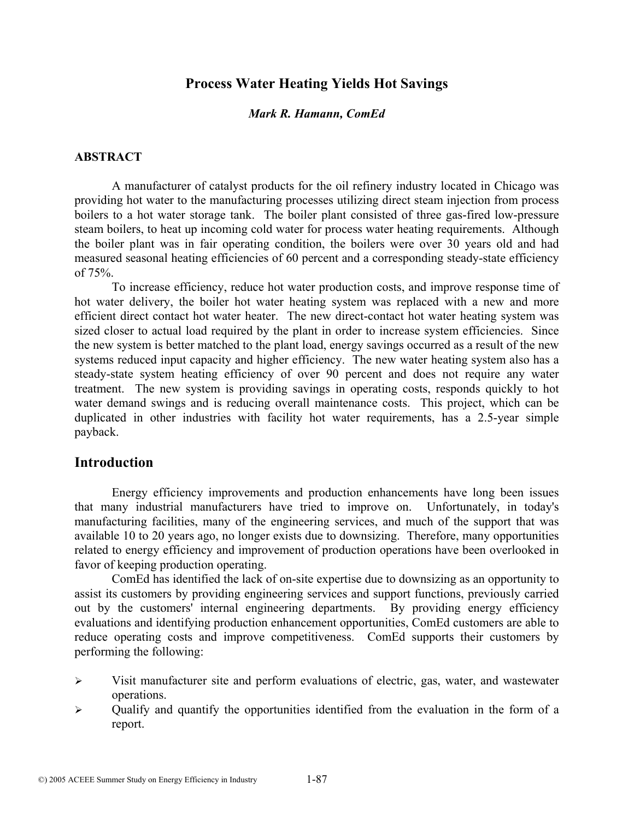# **Process Water Heating Yields Hot Savings**

#### *Mark R. Hamann, ComEd*

#### **ABSTRACT**

A manufacturer of catalyst products for the oil refinery industry located in Chicago was providing hot water to the manufacturing processes utilizing direct steam injection from process boilers to a hot water storage tank. The boiler plant consisted of three gas-fired low-pressure steam boilers, to heat up incoming cold water for process water heating requirements. Although the boiler plant was in fair operating condition, the boilers were over 30 years old and had measured seasonal heating efficiencies of 60 percent and a corresponding steady-state efficiency of 75%.

To increase efficiency, reduce hot water production costs, and improve response time of hot water delivery, the boiler hot water heating system was replaced with a new and more efficient direct contact hot water heater. The new direct-contact hot water heating system was sized closer to actual load required by the plant in order to increase system efficiencies. Since the new system is better matched to the plant load, energy savings occurred as a result of the new systems reduced input capacity and higher efficiency. The new water heating system also has a steady-state system heating efficiency of over 90 percent and does not require any water treatment. The new system is providing savings in operating costs, responds quickly to hot water demand swings and is reducing overall maintenance costs. This project, which can be duplicated in other industries with facility hot water requirements, has a 2.5-year simple payback.

### **Introduction**

Energy efficiency improvements and production enhancements have long been issues that many industrial manufacturers have tried to improve on. Unfortunately, in today's manufacturing facilities, many of the engineering services, and much of the support that was available 10 to 20 years ago, no longer exists due to downsizing. Therefore, many opportunities related to energy efficiency and improvement of production operations have been overlooked in favor of keeping production operating.

 ComEd has identified the lack of on-site expertise due to downsizing as an opportunity to assist its customers by providing engineering services and support functions, previously carried out by the customers' internal engineering departments. By providing energy efficiency evaluations and identifying production enhancement opportunities, ComEd customers are able to reduce operating costs and improve competitiveness. ComEd supports their customers by performing the following:

- $\triangleright$  Visit manufacturer site and perform evaluations of electric, gas, water, and wastewater operations.
- $\triangleright$  Qualify and quantify the opportunities identified from the evaluation in the form of a report.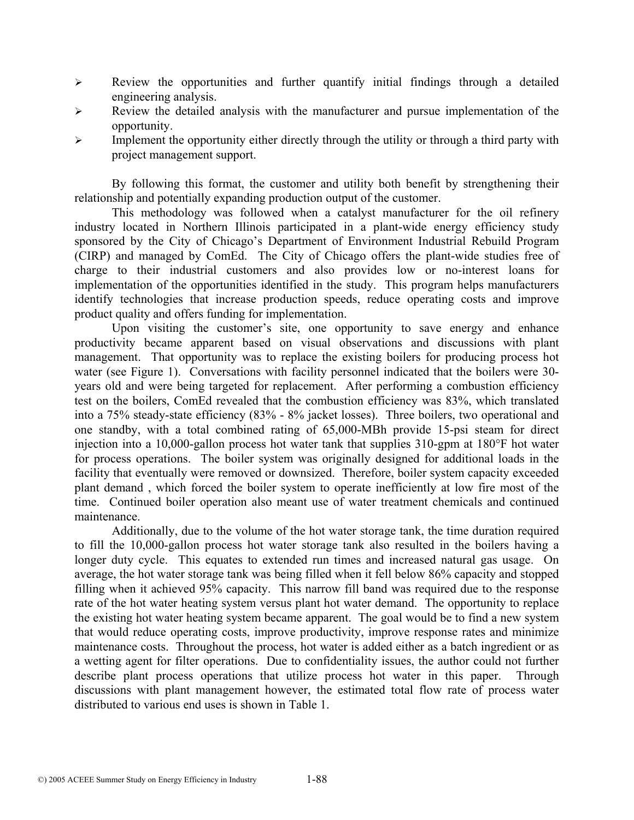- ¾ Review the opportunities and further quantify initial findings through a detailed engineering analysis.
- $\triangleright$  Review the detailed analysis with the manufacturer and pursue implementation of the opportunity.
- $\triangleright$  Implement the opportunity either directly through the utility or through a third party with project management support.

By following this format, the customer and utility both benefit by strengthening their relationship and potentially expanding production output of the customer.

This methodology was followed when a catalyst manufacturer for the oil refinery industry located in Northern Illinois participated in a plant-wide energy efficiency study sponsored by the City of Chicago's Department of Environment Industrial Rebuild Program (CIRP) and managed by ComEd. The City of Chicago offers the plant-wide studies free of charge to their industrial customers and also provides low or no-interest loans for implementation of the opportunities identified in the study. This program helps manufacturers identify technologies that increase production speeds, reduce operating costs and improve product quality and offers funding for implementation.

Upon visiting the customer's site, one opportunity to save energy and enhance productivity became apparent based on visual observations and discussions with plant management. That opportunity was to replace the existing boilers for producing process hot water (see Figure 1). Conversations with facility personnel indicated that the boilers were 30 years old and were being targeted for replacement. After performing a combustion efficiency test on the boilers, ComEd revealed that the combustion efficiency was 83%, which translated into a 75% steady-state efficiency (83% - 8% jacket losses). Three boilers, two operational and one standby, with a total combined rating of 65,000-MBh provide 15-psi steam for direct injection into a 10,000-gallon process hot water tank that supplies 310-gpm at 180°F hot water for process operations. The boiler system was originally designed for additional loads in the facility that eventually were removed or downsized. Therefore, boiler system capacity exceeded plant demand , which forced the boiler system to operate inefficiently at low fire most of the time. Continued boiler operation also meant use of water treatment chemicals and continued maintenance.

Additionally, due to the volume of the hot water storage tank, the time duration required to fill the 10,000-gallon process hot water storage tank also resulted in the boilers having a longer duty cycle. This equates to extended run times and increased natural gas usage. On average, the hot water storage tank was being filled when it fell below 86% capacity and stopped filling when it achieved 95% capacity. This narrow fill band was required due to the response rate of the hot water heating system versus plant hot water demand. The opportunity to replace the existing hot water heating system became apparent. The goal would be to find a new system that would reduce operating costs, improve productivity, improve response rates and minimize maintenance costs. Throughout the process, hot water is added either as a batch ingredient or as a wetting agent for filter operations. Due to confidentiality issues, the author could not further describe plant process operations that utilize process hot water in this paper. Through discussions with plant management however, the estimated total flow rate of process water distributed to various end uses is shown in Table 1.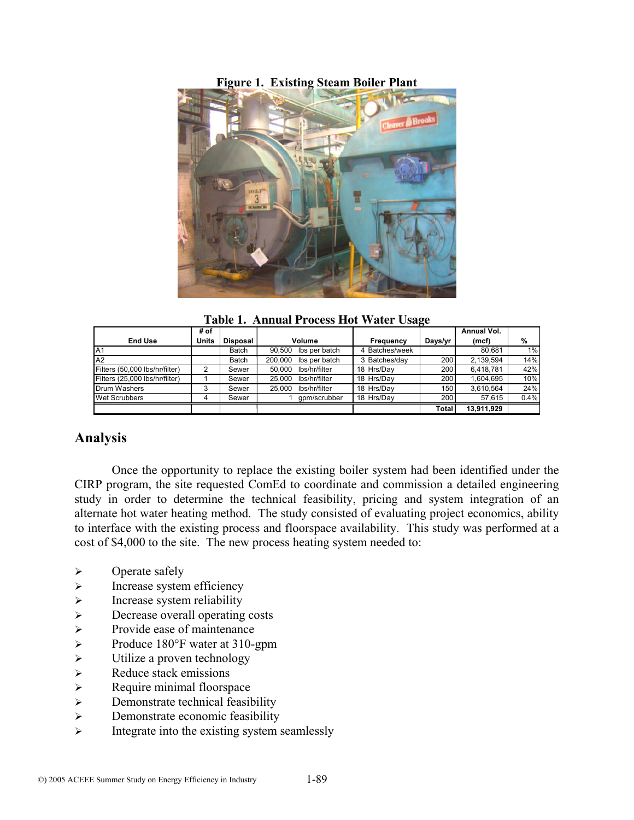### **Figure 1. Existing Steam Boiler Plant**



**Table 1. Annual Process Hot Water Usage**

|                                | # of         |                 |                          |                |              | Annual Vol. |      |
|--------------------------------|--------------|-----------------|--------------------------|----------------|--------------|-------------|------|
| <b>End Use</b>                 | <b>Units</b> | <b>Disposal</b> | Volume                   | Frequency      | Days/yr      | (mcf)       | %    |
| IA1                            |              | Batch           | 90.500<br>Ibs per batch  | 4 Batches/week |              | 80.681      | 1%   |
| A2                             |              | Batch           | 200.000<br>Ibs per batch | 3 Batches/day  | 200          | 2.139.594   | 14%  |
| Filters (50,000 lbs/hr/filter) | ົ            | Sewer           | Ibs/hr/filter<br>50.000  | 18 Hrs/Dav     | 200          | 6.418.781   | 42%  |
| Filters (25.000 lbs/hr/filter) |              | Sewer           | Ibs/hr/filter<br>25.000  | 18 Hrs/Dav     | 200          | 1.604.695   | 10%  |
| Drum Washers                   | 3            | Sewer           | lbs/hr/filter<br>25.000  | 18 Hrs/Dav     | 150          | 3.610.564   | 24%  |
| <b>Wet Scrubbers</b>           |              | Sewer           | qpm/scrubber             | 18 Hrs/Dav     | 200          | 57.615      | 0.4% |
|                                |              |                 |                          |                | <b>Total</b> | 13.911.929  |      |

# **Analysis**

Once the opportunity to replace the existing boiler system had been identified under the CIRP program, the site requested ComEd to coordinate and commission a detailed engineering study in order to determine the technical feasibility, pricing and system integration of an alternate hot water heating method. The study consisted of evaluating project economics, ability to interface with the existing process and floorspace availability. This study was performed at a cost of \$4,000 to the site. The new process heating system needed to:

- $\triangleright$  Operate safely
- $\triangleright$  Increase system efficiency
- $\triangleright$  Increase system reliability
- ¾ Decrease overall operating costs
- $\triangleright$  Provide ease of maintenance
- ¾ Produce 180°F water at 310-gpm
- $\triangleright$  Utilize a proven technology
- $\triangleright$  Reduce stack emissions
- $\triangleright$  Require minimal floorspace
- $\triangleright$  Demonstrate technical feasibility
- $\triangleright$  Demonstrate economic feasibility
- $\triangleright$  Integrate into the existing system seamlessly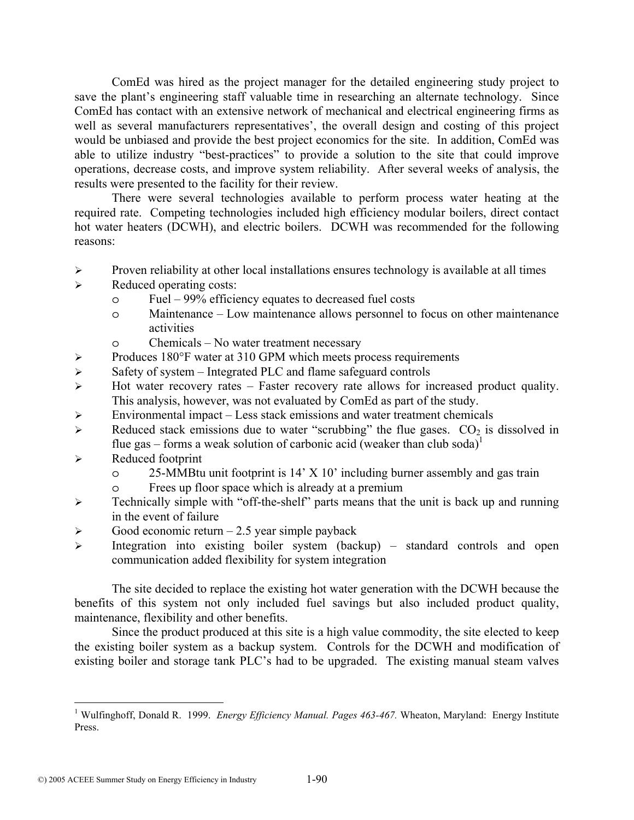ComEd was hired as the project manager for the detailed engineering study project to save the plant's engineering staff valuable time in researching an alternate technology. Since ComEd has contact with an extensive network of mechanical and electrical engineering firms as well as several manufacturers representatives', the overall design and costing of this project would be unbiased and provide the best project economics for the site. In addition, ComEd was able to utilize industry "best-practices" to provide a solution to the site that could improve operations, decrease costs, and improve system reliability. After several weeks of analysis, the results were presented to the facility for their review.

There were several technologies available to perform process water heating at the required rate. Competing technologies included high efficiency modular boilers, direct contact hot water heaters (DCWH), and electric boilers. DCWH was recommended for the following reasons:

- $\triangleright$  Proven reliability at other local installations ensures technology is available at all times
- $\triangleright$  Reduced operating costs:
	- o Fuel 99% efficiency equates to decreased fuel costs
	- o Maintenance Low maintenance allows personnel to focus on other maintenance activities
	- o Chemicals No water treatment necessary
- ¾ Produces 180°F water at 310 GPM which meets process requirements
- $\triangleright$  Safety of system Integrated PLC and flame safeguard controls
- $\triangleright$  Hot water recovery rates Faster recovery rate allows for increased product quality. This analysis, however, was not evaluated by ComEd as part of the study.
- $\triangleright$  Environmental impact Less stack emissions and water treatment chemicals
- ightharpoonup Reduced stack emissions due to water "scrubbing" the flue gases.  $CO<sub>2</sub>$  is dissolved in flue gas – forms a weak solution of carbonic acid (weaker than club soda)<sup>1</sup>
- $\triangleright$  Reduced footprint

 $\overline{a}$ 

- o 25-MMBtu unit footprint is 14' X 10' including burner assembly and gas train
- o Frees up floor space which is already at a premium
- $\triangleright$  Technically simple with "off-the-shelf" parts means that the unit is back up and running in the event of failure
- $\triangleright$  Good economic return 2.5 year simple payback
- ¾ Integration into existing boiler system (backup) standard controls and open communication added flexibility for system integration

The site decided to replace the existing hot water generation with the DCWH because the benefits of this system not only included fuel savings but also included product quality, maintenance, flexibility and other benefits.

Since the product produced at this site is a high value commodity, the site elected to keep the existing boiler system as a backup system. Controls for the DCWH and modification of existing boiler and storage tank PLC's had to be upgraded. The existing manual steam valves

<sup>&</sup>lt;sup>1</sup> Wulfinghoff, Donald R. 1999. *Energy Efficiency Manual. Pages 463-467*. Wheaton, Maryland: Energy Institute Press.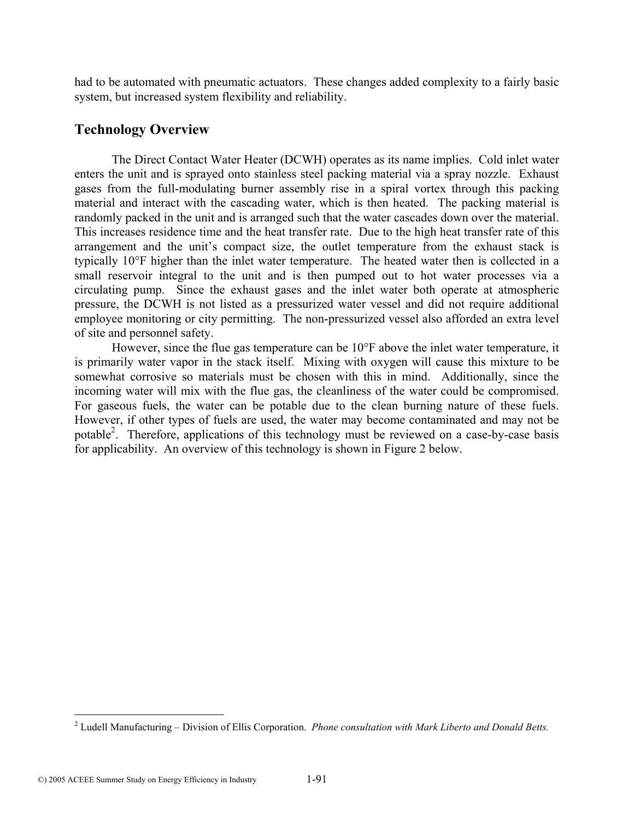had to be automated with pneumatic actuators. These changes added complexity to a fairly basic system, but increased system flexibility and reliability.

# **Technology Overview**

The Direct Contact Water Heater (DCWH) operates as its name implies. Cold inlet water enters the unit and is sprayed onto stainless steel packing material via a spray nozzle. Exhaust gases from the full-modulating burner assembly rise in a spiral vortex through this packing material and interact with the cascading water, which is then heated. The packing material is randomly packed in the unit and is arranged such that the water cascades down over the material. This increases residence time and the heat transfer rate. Due to the high heat transfer rate of this arrangement and the unit's compact size, the outlet temperature from the exhaust stack is typically 10°F higher than the inlet water temperature. The heated water then is collected in a small reservoir integral to the unit and is then pumped out to hot water processes via a circulating pump. Since the exhaust gases and the inlet water both operate at atmospheric pressure, the DCWH is not listed as a pressurized water vessel and did not require additional employee monitoring or city permitting. The non-pressurized vessel also afforded an extra level of site and personnel safety.

However, since the flue gas temperature can be 10°F above the inlet water temperature, it is primarily water vapor in the stack itself. Mixing with oxygen will cause this mixture to be somewhat corrosive so materials must be chosen with this in mind. Additionally, since the incoming water will mix with the flue gas, the cleanliness of the water could be compromised. For gaseous fuels, the water can be potable due to the clean burning nature of these fuels. However, if other types of fuels are used, the water may become contaminated and may not be potable<sup>2</sup>. Therefore, applications of this technology must be reviewed on a case-by-case basis for applicability. An overview of this technology is shown in Figure 2 below.

 2 Ludell Manufacturing – Division of Ellis Corporation. *Phone consultation with Mark Liberto and Donald Betts.*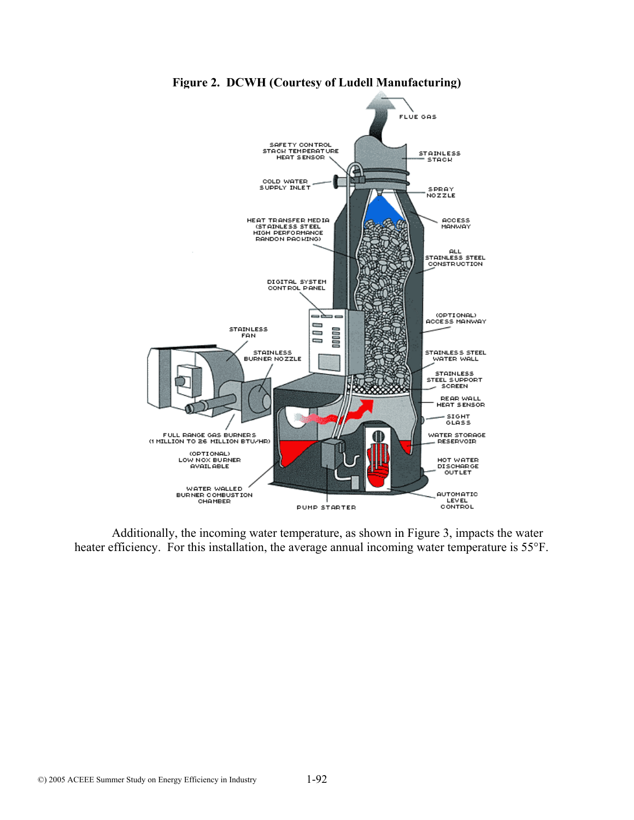

**Figure 2. DCWH (Courtesy of Ludell Manufacturing)** 

Additionally, the incoming water temperature, as shown in Figure 3, impacts the water heater efficiency. For this installation, the average annual incoming water temperature is 55°F.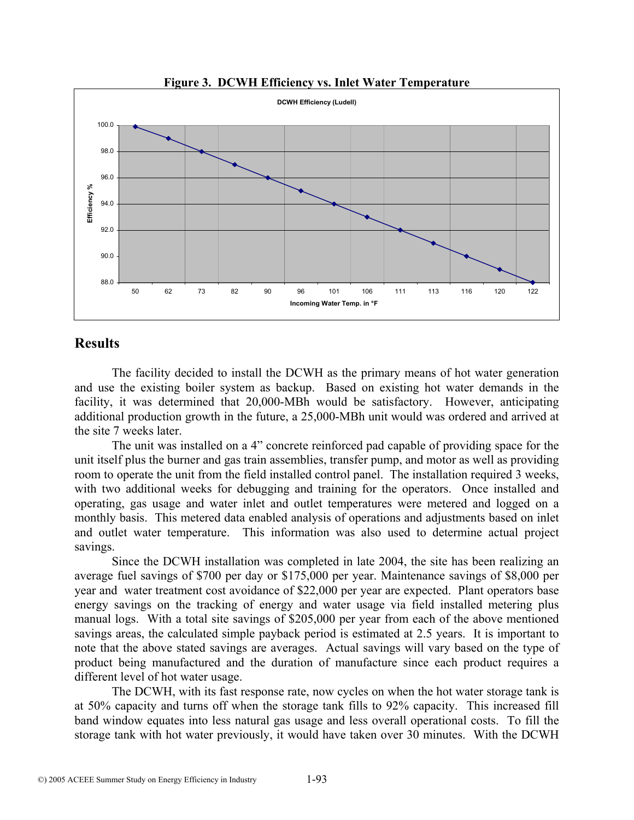

**Figure 3. DCWH Efficiency vs. Inlet Water Temperature** 

# **Results**

The facility decided to install the DCWH as the primary means of hot water generation and use the existing boiler system as backup. Based on existing hot water demands in the facility, it was determined that 20,000-MBh would be satisfactory. However, anticipating additional production growth in the future, a 25,000-MBh unit would was ordered and arrived at the site 7 weeks later.

The unit was installed on a 4" concrete reinforced pad capable of providing space for the unit itself plus the burner and gas train assemblies, transfer pump, and motor as well as providing room to operate the unit from the field installed control panel. The installation required 3 weeks, with two additional weeks for debugging and training for the operators. Once installed and operating, gas usage and water inlet and outlet temperatures were metered and logged on a monthly basis. This metered data enabled analysis of operations and adjustments based on inlet and outlet water temperature. This information was also used to determine actual project savings.

Since the DCWH installation was completed in late 2004, the site has been realizing an average fuel savings of \$700 per day or \$175,000 per year. Maintenance savings of \$8,000 per year and water treatment cost avoidance of \$22,000 per year are expected. Plant operators base energy savings on the tracking of energy and water usage via field installed metering plus manual logs. With a total site savings of \$205,000 per year from each of the above mentioned savings areas, the calculated simple payback period is estimated at 2.5 years. It is important to note that the above stated savings are averages. Actual savings will vary based on the type of product being manufactured and the duration of manufacture since each product requires a different level of hot water usage.

The DCWH, with its fast response rate, now cycles on when the hot water storage tank is at 50% capacity and turns off when the storage tank fills to 92% capacity. This increased fill band window equates into less natural gas usage and less overall operational costs. To fill the storage tank with hot water previously, it would have taken over 30 minutes. With the DCWH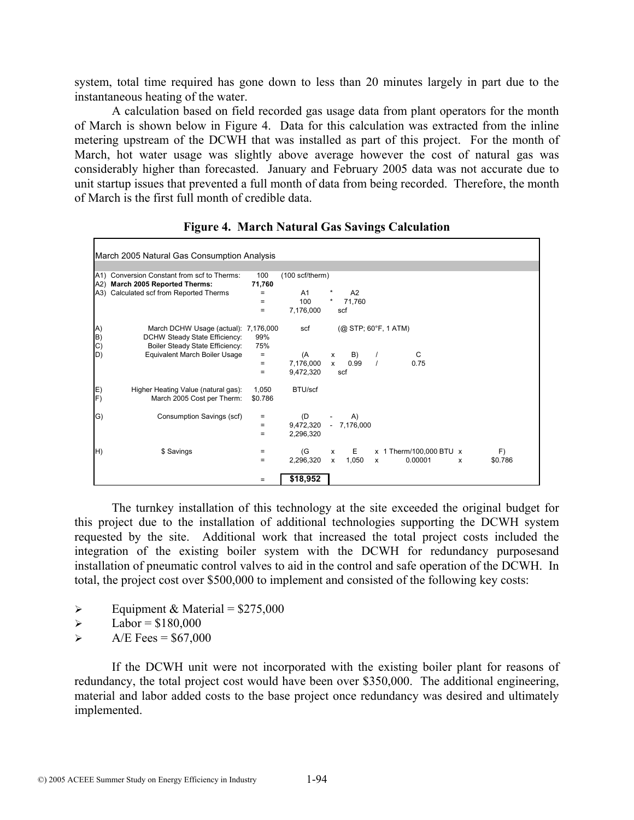system, total time required has gone down to less than 20 minutes largely in part due to the instantaneous heating of the water.

A calculation based on field recorded gas usage data from plant operators for the month of March is shown below in Figure 4. Data for this calculation was extracted from the inline metering upstream of the DCWH that was installed as part of this project. For the month of March, hot water usage was slightly above average however the cost of natural gas was considerably higher than forecasted. January and February 2005 data was not accurate due to unit startup issues that prevented a full month of data from being recorded. Therefore, the month of March is the first full month of credible data.

| March 2005 Natural Gas Consumption Analysis |                                                                                                          |                   |                           |                                                                  |  |  |  |  |  |  |
|---------------------------------------------|----------------------------------------------------------------------------------------------------------|-------------------|---------------------------|------------------------------------------------------------------|--|--|--|--|--|--|
|                                             |                                                                                                          |                   |                           |                                                                  |  |  |  |  |  |  |
|                                             | A1) Conversion Constant from scf to Therms:<br>A2) March 2005 Reported Therms:                           | 100<br>71,760     | $(100 \text{ scf/therm})$ |                                                                  |  |  |  |  |  |  |
|                                             | A3) Calculated scf from Reported Therms                                                                  | $\qquad \qquad =$ | A1                        | A2                                                               |  |  |  |  |  |  |
|                                             |                                                                                                          | $=$               | 100                       | *<br>71,760                                                      |  |  |  |  |  |  |
|                                             |                                                                                                          | $=$               | 7,176,000                 | scf                                                              |  |  |  |  |  |  |
| A)<br>B)<br>$\mathcal{C}$                   | March DCHW Usage (actual): 7,176,000<br>DCHW Steady State Efficiency:<br>Boiler Steady State Efficiency: | 99%<br>75%        | scf                       | $(Q)$ STP; 60 ${}^{\circ}$ F, 1 ATM)                             |  |  |  |  |  |  |
| D)                                          | Equivalent March Boiler Usage                                                                            | $\qquad \qquad =$ | (A                        | C<br>B)<br>X<br>$\prime$                                         |  |  |  |  |  |  |
|                                             |                                                                                                          | $=$<br>$=$        | 7,176,000<br>9,472,320    | 0.99<br>0.75<br>$\mathsf{x}$<br>scf                              |  |  |  |  |  |  |
| E)<br>F)                                    | Higher Heating Value (natural gas):<br>March 2005 Cost per Therm:                                        | 1,050<br>\$0.786  | BTU/scf                   |                                                                  |  |  |  |  |  |  |
| G)                                          | Consumption Savings (scf)                                                                                | $\equiv$          | (D)                       | A)                                                               |  |  |  |  |  |  |
|                                             |                                                                                                          | $=$               | 9,472,320                 | $-7,176,000$                                                     |  |  |  |  |  |  |
|                                             |                                                                                                          | $=$               | 2,296,320                 |                                                                  |  |  |  |  |  |  |
| H)                                          | \$ Savings                                                                                               | $\qquad \qquad =$ | (G                        | E<br>x 1 Therm/100,000 BTU x<br>F)<br>$\mathsf{x}$               |  |  |  |  |  |  |
|                                             |                                                                                                          | $=$               | 2,296,320                 | 1,050<br>0.00001<br>\$0.786<br>$\mathsf{x}$<br>$\mathsf{x}$<br>X |  |  |  |  |  |  |
|                                             |                                                                                                          | $=$               | \$18,952                  |                                                                  |  |  |  |  |  |  |

**Figure 4. March Natural Gas Savings Calculation** 

The turnkey installation of this technology at the site exceeded the original budget for this project due to the installation of additional technologies supporting the DCWH system requested by the site. Additional work that increased the total project costs included the integration of the existing boiler system with the DCWH for redundancy purposesand installation of pneumatic control valves to aid in the control and safe operation of the DCWH. In total, the project cost over \$500,000 to implement and consisted of the following key costs:

- $\triangleright$  Equipment & Material = \$275,000
- $\blacktriangleright$  Labor = \$180,000
- $\triangleright$  A/E Fees = \$67,000

If the DCWH unit were not incorporated with the existing boiler plant for reasons of redundancy, the total project cost would have been over \$350,000. The additional engineering, material and labor added costs to the base project once redundancy was desired and ultimately implemented.